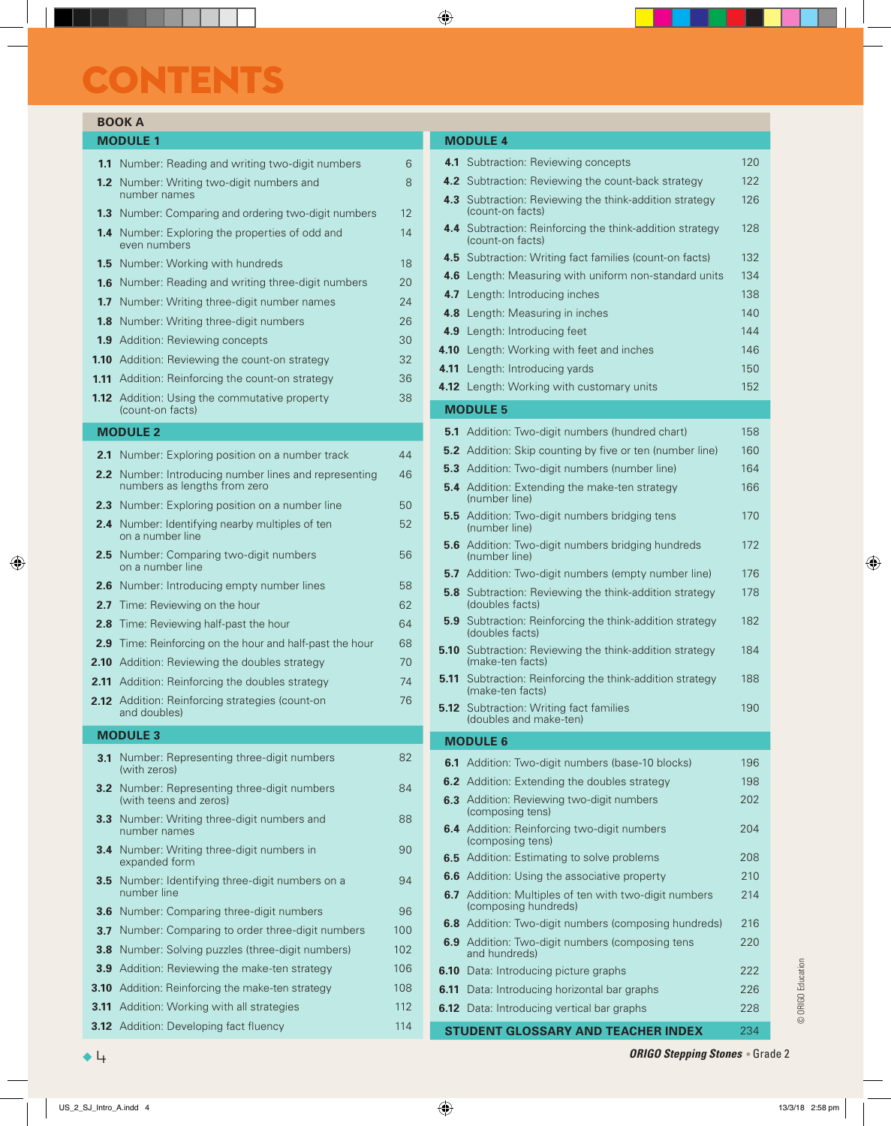# CONTENTS

### **BOOK A**

| <b>MODULE 1</b> |                                                                          |    |  |
|-----------------|--------------------------------------------------------------------------|----|--|
|                 | <b>1.1</b> Number: Reading and writing two-digit numbers                 | 6  |  |
|                 | <b>1.2</b> Number: Writing two-digit numbers and<br>number names         | 8  |  |
|                 | <b>1.3</b> Number: Comparing and ordering two-digit numbers              | 12 |  |
|                 | <b>1.4</b> Number: Exploring the properties of odd and<br>even numbers   | 14 |  |
|                 | <b>1.5</b> Number: Working with hundreds                                 | 18 |  |
|                 | <b>1.6</b> Number: Reading and writing three-digit numbers               | 20 |  |
|                 | <b>1.7</b> Number: Writing three-digit number names                      | 24 |  |
|                 | <b>1.8</b> Number: Writing three-digit numbers                           | 26 |  |
|                 | <b>1.9</b> Addition: Reviewing concepts                                  | 30 |  |
|                 | <b>1.10</b> Addition: Reviewing the count-on strategy                    | 32 |  |
|                 | <b>1.11</b> Addition: Reinforcing the count-on strategy                  | 36 |  |
|                 | <b>1.12</b> Addition: Using the commutative property<br>(count-on facts) | 38 |  |

### **MODULE 2**

| 2.1               | Number: Exploring position on a number track                                      | 44  |
|-------------------|-----------------------------------------------------------------------------------|-----|
| 2.2               | Number: Introducing number lines and representing<br>numbers as lengths from zero | 46  |
| 2.3               | Number: Exploring position on a number line                                       | 50  |
| 2.4               | Number: Identifying nearby multiples of ten<br>on a number line                   | 52  |
| 2.5               | Number: Comparing two-digit numbers<br>on a number line                           | 56  |
| 2.6               | Number: Introducing empty number lines                                            | 58  |
| 2.7 <sub>2</sub>  | Time: Reviewing on the hour                                                       | 62  |
| 2.8               | Time: Reviewing half-past the hour                                                | 64  |
| 2.9               | Time: Reinforcing on the hour and half-past the hour                              | 68  |
| 2.10              | Addition: Reviewing the doubles strategy                                          | 70  |
| 2.11              | Addition: Reinforcing the doubles strategy                                        | 74  |
| 2.12 <sub>2</sub> | Addition: Reinforcing strategies (count-on<br>and doubles)                        | 76  |
|                   |                                                                                   |     |
|                   | <b>MODULE 3</b>                                                                   |     |
| 3.1               | Number: Representing three-digit numbers<br>(with zeros)                          | 82  |
| 3.2               | Number: Representing three-digit numbers<br>(with teens and zeros)                | 84  |
| 3.3               | Number: Writing three-digit numbers and<br>number names                           | 88  |
| 3.4               | Number: Writing three-digit numbers in<br>expanded form                           | 90  |
| 3.5               | Number: Identifying three-digit numbers on a<br>number line                       | 94  |
| 3.6               | Number: Comparing three-digit numbers                                             | 96  |
| 3.7               | Number: Comparing to order three-digit numbers                                    | 100 |
| 3.8               | Number: Solving puzzles (three-digit numbers)                                     | 102 |
| 3.9               | Addition: Reviewing the make-ten strategy                                         | 106 |
| 3.10              | Addition: Reinforcing the make-ten strategy                                       | 108 |
| 3.11              | Addition: Working with all strategies                                             | 112 |

#### **MODULE 4 4.1** Subtraction: Reviewing concepts 120 **4.2** Subtraction: Reviewing the count-back strategy 122 **4.3** Subtraction: Reviewing the think-addition strategy (count-on facts) 126 **4.4** Subtraction: Reinforcing the think-addition strategy (count-on facts) 128 **4.5** Subtraction: Writing fact families (count-on facts) 132 **4.6** Length: Measuring with uniform non-standard units 134 **4.7** Length: Introducing inches 138 **4.8** Length: Measuring in inches 140 **4.9** Length: Introducing feet 144 **4.10** Length: Working with feet and inches 146 **4.11** Length: Introducing yards 150 **4.12** Length: Working with customary units 152 **MODULE 5 5.1** Addition: Two-digit numbers (hundred chart) 158 **5.2** Addition: Skip counting by five or ten (number line) 160 **5.3** Addition: Two-digit numbers (number line) 164 **5.4** Addition: Extending the make-ten strategy (number line) 166 **5.5** Addition: Two-digit numbers bridging tens (number line) 170 **5.6** Addition: Two-digit numbers bridging hundreds (number line) 172 **5.7** Addition: Two-digit numbers (empty number line) 176 **5.8** Subtraction: Reviewing the think-addition strategy (doubles facts) 178 **5.9** Subtraction: Reinforcing the think-addition strategy (doubles facts) 182 **5.10** Subtraction: Reviewing the think-addition strategy (make-ten facts) 184 **5.11** Subtraction: Reinforcing the think-addition strategy (make-ten facts) 188 **5.12** Subtraction: Writing fact families (doubles and make-ten) 190 **MODULE 6 6.1** Addition: Two-digit numbers (base-10 blocks) 196 **6.2** Addition: Extending the doubles strategy 198 **6.3** Addition: Reviewing two-digit numbers (composing tens) 202 **6.4** Addition: Reinforcing two-digit numbers (composing tens) 204 **6.5** Addition: Estimating to solve problems 208 **6.6** Addition: Using the associative property 210 **6.7** Addition: Multiples of ten with two-digit numbers (composing hundreds) 214 **6.8** Addition: Two-digit numbers (composing hundreds) 216 **6.9** Addition: Two-digit numbers (composing tens and hundreds) 220 **6.10** Data: Introducing picture graphs 222 **6.11** Data: Introducing horizontal bar graphs 226 **6.12** Data: Introducing vertical bar graphs 228

**STUDENT GLOSSARY AND TEACHER INDEX** 234